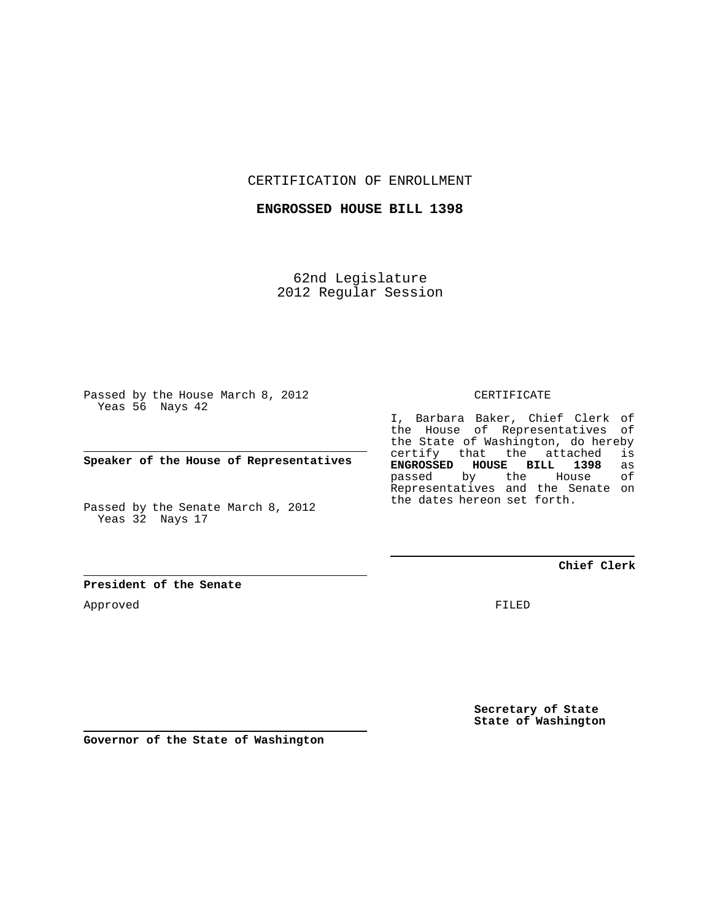CERTIFICATION OF ENROLLMENT

**ENGROSSED HOUSE BILL 1398**

62nd Legislature 2012 Regular Session

Passed by the House March 8, 2012 Yeas 56 Nays 42

**Speaker of the House of Representatives**

Passed by the Senate March 8, 2012 Yeas 32 Nays 17

**President of the Senate**

Approved

CERTIFICATE

I, Barbara Baker, Chief Clerk of the House of Representatives of the State of Washington, do hereby<br>certify that the attached is certify that the attached is<br>**ENGROSSED HOUSE BILL 1398** as **ENGROSSED HOUSE BILL 1398** as passed by the House Representatives and the Senate on the dates hereon set forth.

**Chief Clerk**

FILED

**Secretary of State State of Washington**

**Governor of the State of Washington**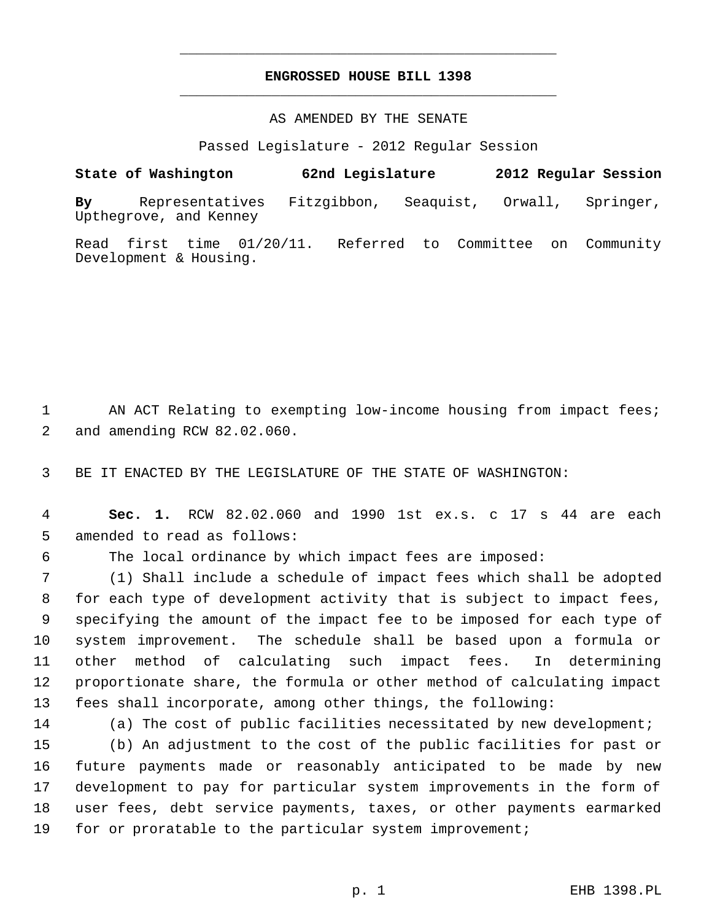## **ENGROSSED HOUSE BILL 1398** \_\_\_\_\_\_\_\_\_\_\_\_\_\_\_\_\_\_\_\_\_\_\_\_\_\_\_\_\_\_\_\_\_\_\_\_\_\_\_\_\_\_\_\_\_

\_\_\_\_\_\_\_\_\_\_\_\_\_\_\_\_\_\_\_\_\_\_\_\_\_\_\_\_\_\_\_\_\_\_\_\_\_\_\_\_\_\_\_\_\_

## AS AMENDED BY THE SENATE

Passed Legislature - 2012 Regular Session

## **State of Washington 62nd Legislature 2012 Regular Session By** Representatives Fitzgibbon, Seaquist, Orwall, Springer, Upthegrove, and Kenney

Read first time 01/20/11. Referred to Committee on Community Development & Housing.

1 AN ACT Relating to exempting low-income housing from impact fees; 2 and amending RCW 82.02.060.

3 BE IT ENACTED BY THE LEGISLATURE OF THE STATE OF WASHINGTON:

 4 **Sec. 1.** RCW 82.02.060 and 1990 1st ex.s. c 17 s 44 are each 5 amended to read as follows:

6 The local ordinance by which impact fees are imposed:

 (1) Shall include a schedule of impact fees which shall be adopted for each type of development activity that is subject to impact fees, specifying the amount of the impact fee to be imposed for each type of system improvement. The schedule shall be based upon a formula or other method of calculating such impact fees. In determining proportionate share, the formula or other method of calculating impact fees shall incorporate, among other things, the following:

14 (a) The cost of public facilities necessitated by new development;

 (b) An adjustment to the cost of the public facilities for past or future payments made or reasonably anticipated to be made by new development to pay for particular system improvements in the form of user fees, debt service payments, taxes, or other payments earmarked for or proratable to the particular system improvement;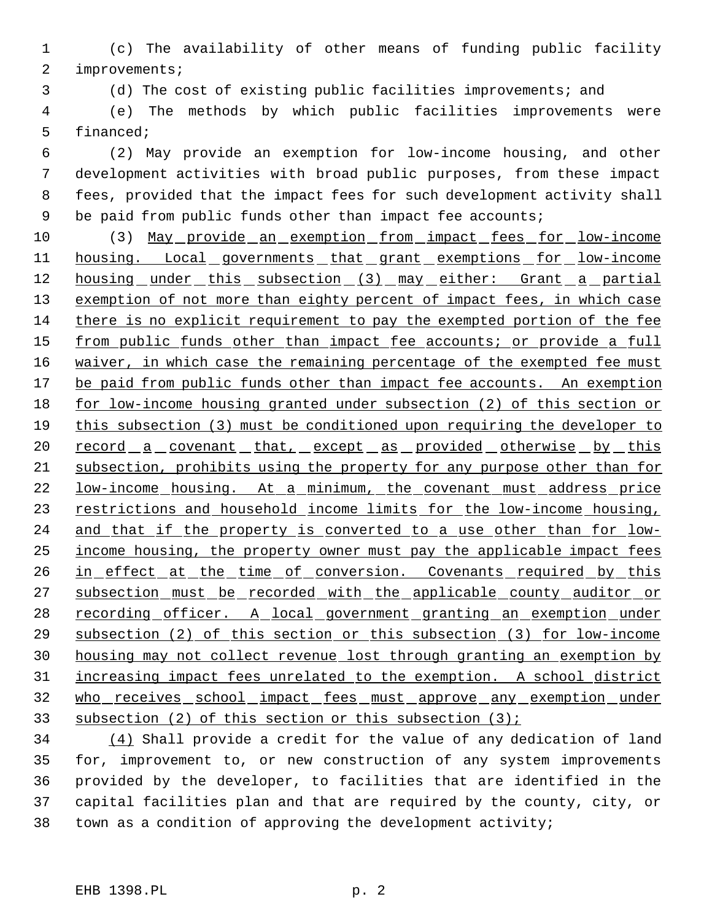(c) The availability of other means of funding public facility improvements;

(d) The cost of existing public facilities improvements; and

 (e) The methods by which public facilities improvements were financed;

 (2) May provide an exemption for low-income housing, and other development activities with broad public purposes, from these impact fees, provided that the impact fees for such development activity shall 9 be paid from public funds other than impact fee accounts;

 (3) May provide an exemption from impact fees for low-income 11 housing. Local governments that grant exemptions for low-income 12 housing under this subsection (3) may either: Grant a partial 13 exemption of not more than eighty percent of impact fees, in which case there is no explicit requirement to pay the exempted portion of the fee 15 from public funds other than impact fee accounts; or provide a full 16 waiver, in which case the remaining percentage of the exempted fee must 17 be paid from public funds other than impact fee accounts. An exemption for low-income housing granted under subsection (2) of this section or 19 this subsection (3) must be conditioned upon requiring the developer to 20 record a covenant that, except as provided otherwise by this subsection, prohibits using the property for any purpose other than for low-income housing. At a minimum, the covenant must address price 23 restrictions and household income limits for the low-income housing, 24 and that if the property is converted to a use other than for low- income housing, the property owner must pay the applicable impact fees 26 in effect at the time of conversion. Covenants required by this 27 subsection must be recorded with the applicable county auditor or 28 recording officer. A local government granting an exemption under subsection (2) of this section or this subsection (3) for low-income housing may not collect revenue lost through granting an exemption by increasing impact fees unrelated to the exemption. A school district who receives school impact fees must approve any exemption under subsection (2) of this section or this subsection (3);

 (4) Shall provide a credit for the value of any dedication of land for, improvement to, or new construction of any system improvements provided by the developer, to facilities that are identified in the capital facilities plan and that are required by the county, city, or town as a condition of approving the development activity;